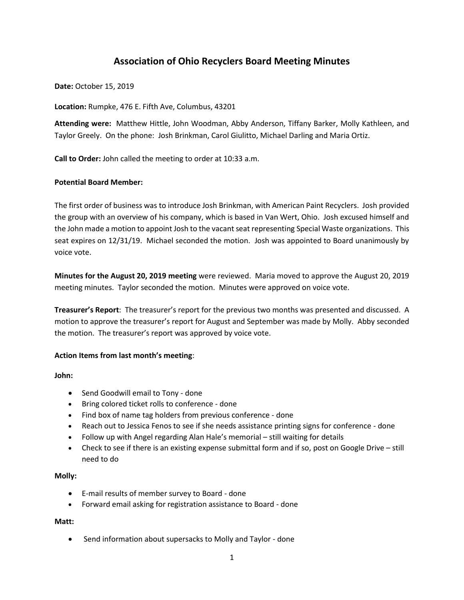# **Association of Ohio Recyclers Board Meeting Minutes**

**Date:** October 15, 2019

**Location:** Rumpke, 476 E. Fifth Ave, Columbus, 43201

**Attending were:** Matthew Hittle, John Woodman, Abby Anderson, Tiffany Barker, Molly Kathleen, and Taylor Greely. On the phone: Josh Brinkman, Carol Giulitto, Michael Darling and Maria Ortiz.

**Call to Order:** John called the meeting to order at 10:33 a.m.

### **Potential Board Member:**

The first order of business was to introduce Josh Brinkman, with American Paint Recyclers. Josh provided the group with an overview of his company, which is based in Van Wert, Ohio. Josh excused himself and the John made a motion to appoint Josh to the vacant seat representing Special Waste organizations. This seat expires on 12/31/19. Michael seconded the motion. Josh was appointed to Board unanimously by voice vote.

**Minutes for the August 20, 2019 meeting** were reviewed. Maria moved to approve the August 20, 2019 meeting minutes. Taylor seconded the motion. Minutes were approved on voice vote.

**Treasurer's Report**: The treasurer's report for the previous two months was presented and discussed. A motion to approve the treasurer's report for August and September was made by Molly. Abby seconded the motion. The treasurer's report was approved by voice vote.

#### **Action Items from last month's meeting**:

**John:**

- Send Goodwill email to Tony done
- Bring colored ticket rolls to conference done
- Find box of name tag holders from previous conference done
- Reach out to Jessica Fenos to see if she needs assistance printing signs for conference done
- Follow up with Angel regarding Alan Hale's memorial still waiting for details
- Check to see if there is an existing expense submittal form and if so, post on Google Drive still need to do

#### **Molly:**

- E-mail results of member survey to Board done
- Forward email asking for registration assistance to Board done

#### **Matt:**

• Send information about supersacks to Molly and Taylor - done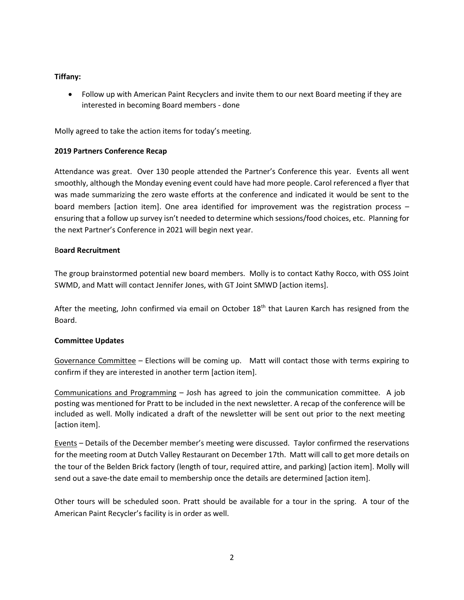# **Tiffany:**

• Follow up with American Paint Recyclers and invite them to our next Board meeting if they are interested in becoming Board members - done

Molly agreed to take the action items for today's meeting.

# **2019 Partners Conference Recap**

Attendance was great. Over 130 people attended the Partner's Conference this year. Events all went smoothly, although the Monday evening event could have had more people. Carol referenced a flyer that was made summarizing the zero waste efforts at the conference and indicated it would be sent to the board members [action item]. One area identified for improvement was the registration process – ensuring that a follow up survey isn't needed to determine which sessions/food choices, etc. Planning for the next Partner's Conference in 2021 will begin next year.

# B**oard Recruitment**

The group brainstormed potential new board members. Molly is to contact Kathy Rocco, with OSS Joint SWMD, and Matt will contact Jennifer Jones, with GT Joint SMWD [action items].

After the meeting, John confirmed via email on October 18<sup>th</sup> that Lauren Karch has resigned from the Board.

## **Committee Updates**

Governance Committee – Elections will be coming up. Matt will contact those with terms expiring to confirm if they are interested in another term [action item].

Communications and Programming – Josh has agreed to join the communication committee. A job posting was mentioned for Pratt to be included in the next newsletter. A recap of the conference will be included as well. Molly indicated a draft of the newsletter will be sent out prior to the next meeting [action item].

Events – Details of the December member's meeting were discussed. Taylor confirmed the reservations for the meeting room at Dutch Valley Restaurant on December 17th. Matt will call to get more details on the tour of the Belden Brick factory (length of tour, required attire, and parking) [action item]. Molly will send out a save-the date email to membership once the details are determined [action item].

Other tours will be scheduled soon. Pratt should be available for a tour in the spring. A tour of the American Paint Recycler's facility is in order as well.